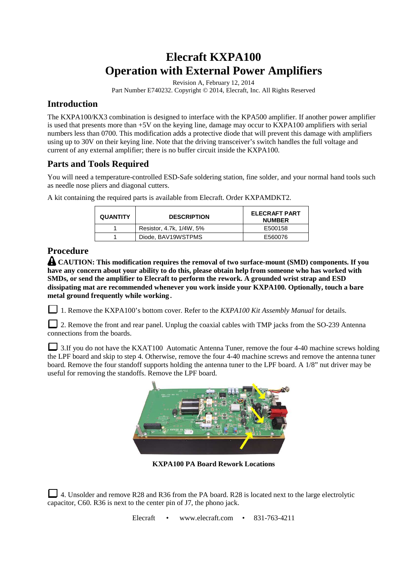# **Elecraft KXPA100 Operation with External Power Amplifiers**

Revision A, February 12, 2014

Part Number E740232. Copyright © 2014, Elecraft, Inc. All Rights Reserved

## **Introduction**

The KXPA100/KX3 combination is designed to interface with the KPA500 amplifier. If another power amplifier is used that presents more than +5V on the keying line, damage may occur to KXPA100 amplifiers with serial numbers less than 0700. This modification adds a protective diode that will prevent this damage with amplifiers using up to 30V on their keying line. Note that the driving transceiver's switch handles the full voltage and current of any external amplifier; there is no buffer circuit inside the KXPA100.

### **Parts and Tools Required**

You will need a temperature-controlled ESD-Safe soldering station, fine solder, and your normal hand tools such as needle nose pliers and diagonal cutters.

| <b>QUANTITY</b> | <b>DESCRIPTION</b>       | <b>ELECRAFT PART</b><br><b>NUMBER</b> |
|-----------------|--------------------------|---------------------------------------|
|                 | Resistor, 4.7k, 1/4W, 5% | E500158                               |
|                 | Diode, BAV19WSTPMS       | E560076                               |

A kit containing the required parts is available from Elecraft. Order KXPAMDKT2.

# **Procedure**

**CAUTION: This modification requires the removal of two surface-mount (SMD) components. If you have any concern about your ability to do this, please obtain help from someone who has worked with SMDs, or send the amplifier to Elecraft to perform the rework. A grounded wrist strap and ESD dissipating mat are recommended whenever you work inside your KXPA100. Optionally, touch a bare metal ground frequently while working.** 

1. Remove the KXPA100's bottom cover. Refer to the *KXPA100 Kit Assembly Manual* for details.

2. Remove the front and rear panel. Unplug the coaxial cables with TMP jacks from the SO-239 Antenna connections from the boards.

3.If you do not have the KXAT100 Automatic Antenna Tuner, remove the four 4-40 machine screws holding the LPF board and skip to step 4. Otherwise, remove the four 4-40 machine screws and remove the antenna tuner board. Remove the four standoff supports holding the antenna tuner to the LPF board. A 1/8" nut driver may be useful for removing the standoffs. Remove the LPF board.



**KXPA100 PA Board Rework Locations** 

4. Unsolder and remove R28 and R36 from the PA board. R28 is located next to the large electrolytic capacitor, C60. R36 is next to the center pin of J7, the phono jack.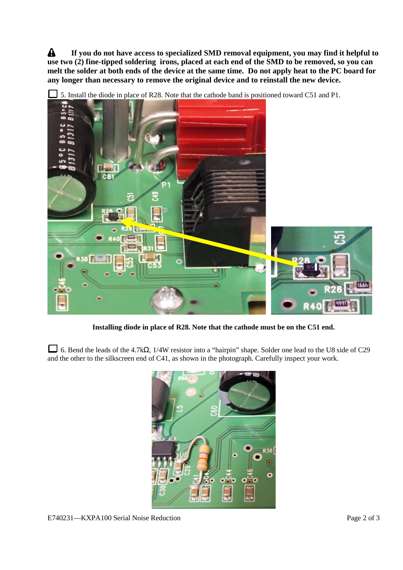$\mathbf{A}$ **If you do not have access to specialized SMD removal equipment, you may find it helpful to use two (2) fine-tipped soldering irons, placed at each end of the SMD to be removed, so you can melt the solder at both ends of the device at the same time. Do not apply heat to the PC board for any longer than necessary to remove the original device and to reinstall the new device.**



5. Install the diode in place of R28. Note that the cathode band is positioned toward C51 and P1.

**Installing diode in place of R28. Note that the cathode must be on the C51 end.** 

6. Bend the leads of the 4.7kΩ, 1/4W resistor into a "hairpin" shape. Solder one lead to the U8 side of C29 and the other to the silkscreen end of C41, as shown in the photograph. Carefully inspect your work.